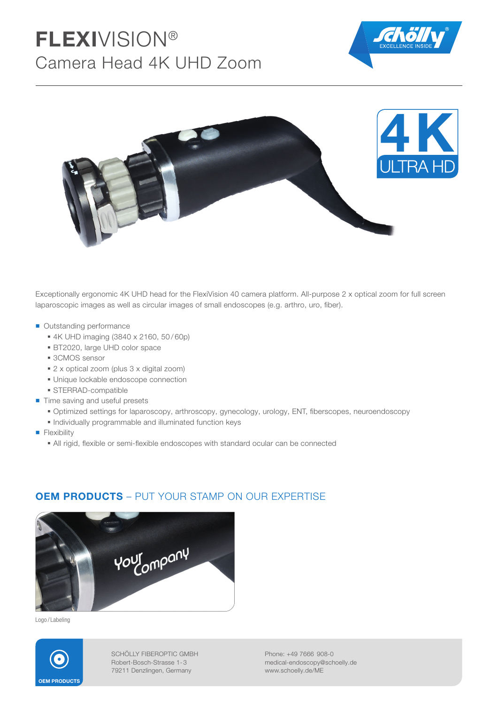# FLEXIVISION® Camera Head 4K UHD Zoom





Exceptionally ergonomic 4K UHD head for the FlexiVision 40 camera platform. All-purpose 2 x optical zoom for full screen laparoscopic images as well as circular images of small endoscopes (e.g. arthro, uro, fiber).

- Outstanding performance
	- 4K UHD imaging (3840 x 2160, 50 / 60p)
	- BT2020, large UHD color space
	- 3CMOS sensor
	- 2 x optical zoom (plus 3 x digital zoom)
	- **Unique lockable endoscope connection**
	- **STERRAD-compatible**
- Time saving and useful presets
	- $\bullet$  Optimized settings for laparoscopy, arthroscopy, gynecology, urology, ENT, fiberscopes, neuroendoscopy
	- Individually programmable and illuminated function keys
- **Flexibility** 
	- All rigid, flexible or semi-flexible endoscopes with standard ocular can be connected



## **OEM PRODUCTS** – PUT YOUR STAMP ON OUR EXPERTISE

Logo / Labeling



SCHÖLLY FIBEROPTIC GMBH Robert-Bosch-Strasse 1- 3 79211 Denzlingen, Germany

Phone: +49 7666 908-0 medical-endoscopy@schoelly.de www.schoelly.de/ME